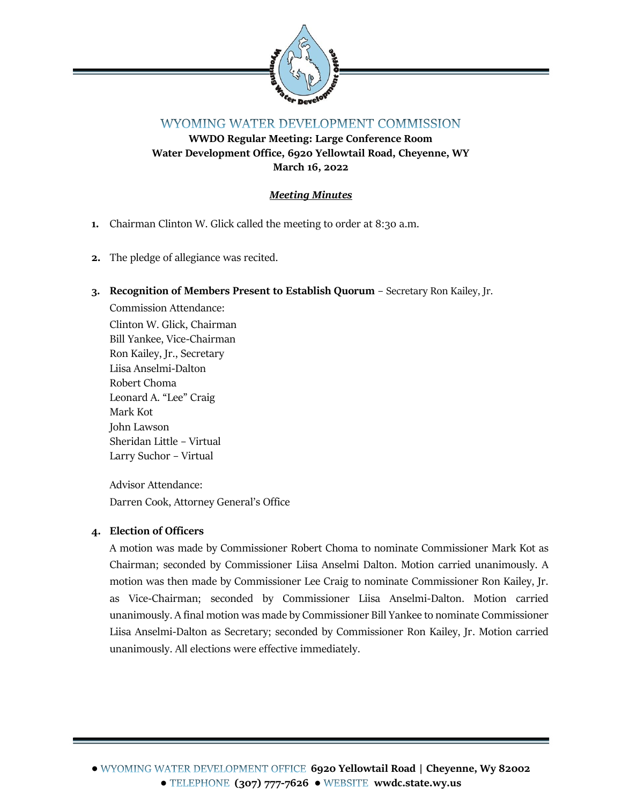

# WYOMING WATER DEVELOPMENT COMMISSION

**WWDO Regular Meeting: Large Conference Room Water Development Office, 6920 Yellowtail Road, Cheyenne, WY March 16, 2022**

## *Meeting Minutes*

- **1.** Chairman Clinton W. Glick called the meeting to order at 8:30 a.m.
- **2.** The pledge of allegiance was recited.

#### **3. Recognition of Members Present to Establish Quorum** – Secretary Ron Kailey, Jr.

Commission Attendance: Clinton W. Glick, Chairman Bill Yankee, Vice-Chairman Ron Kailey, Jr., Secretary Liisa Anselmi-Dalton Robert Choma Leonard A. "Lee" Craig Mark Kot John Lawson Sheridan Little – Virtual Larry Suchor – Virtual

Advisor Attendance: Darren Cook, Attorney General's Office

## **4. Election of Officers**

A motion was made by Commissioner Robert Choma to nominate Commissioner Mark Kot as Chairman; seconded by Commissioner Liisa Anselmi Dalton. Motion carried unanimously. A motion was then made by Commissioner Lee Craig to nominate Commissioner Ron Kailey, Jr. as Vice-Chairman; seconded by Commissioner Liisa Anselmi-Dalton. Motion carried unanimously. A final motion was made by Commissioner Bill Yankee to nominate Commissioner Liisa Anselmi-Dalton as Secretary; seconded by Commissioner Ron Kailey, Jr. Motion carried unanimously. All elections were effective immediately.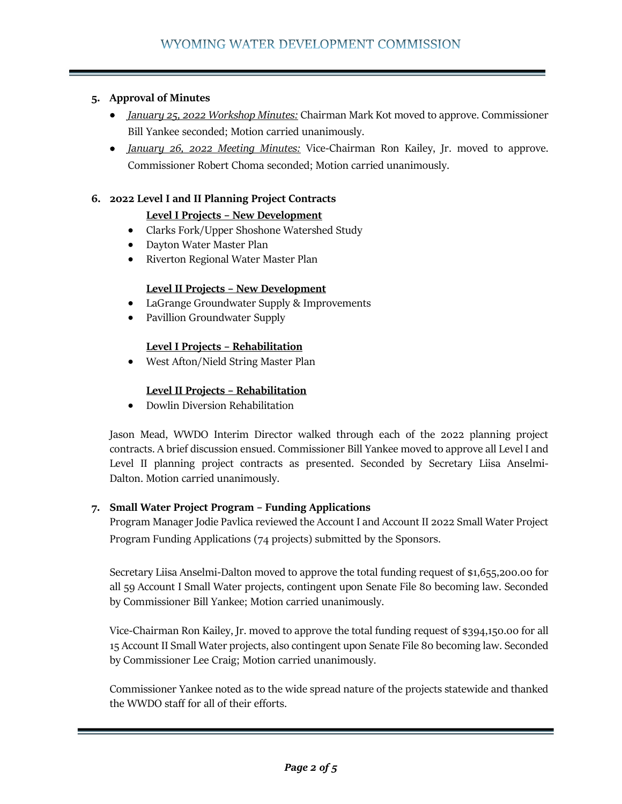### **5. Approval of Minutes**

- *January 25, 2022 Workshop Minutes:* Chairman Mark Kot moved to approve. Commissioner Bill Yankee seconded; Motion carried unanimously.
- *January 26, 2022 Meeting Minutes:* Vice-Chairman Ron Kailey, Jr. moved to approve. Commissioner Robert Choma seconded; Motion carried unanimously.

#### **6. 2022 Level I and II Planning Project Contracts**

#### **Level I Projects – New Development**

- Clarks Fork/Upper Shoshone Watershed Study
- Dayton Water Master Plan
- Riverton Regional Water Master Plan

#### **Level II Projects – New Development**

- LaGrange Groundwater Supply & Improvements
- Pavillion Groundwater Supply

#### **Level I Projects – Rehabilitation**

• West Afton/Nield String Master Plan

#### **Level II Projects – Rehabilitation**

• Dowlin Diversion Rehabilitation

Jason Mead, WWDO Interim Director walked through each of the 2022 planning project contracts. A brief discussion ensued. Commissioner Bill Yankee moved to approve all Level I and Level II planning project contracts as presented. Seconded by Secretary Liisa Anselmi-Dalton. Motion carried unanimously.

#### **7. Small Water Project Program – Funding Applications**

Program Manager Jodie Pavlica reviewed the Account I and Account II 2022 Small Water Project Program Funding Applications (74 projects) submitted by the Sponsors.

Secretary Liisa Anselmi-Dalton moved to approve the total funding request of \$1,655,200.00 for all 59 Account I Small Water projects, contingent upon Senate File 80 becoming law. Seconded by Commissioner Bill Yankee; Motion carried unanimously.

Vice-Chairman Ron Kailey, Jr. moved to approve the total funding request of \$394,150.00 for all 15 Account II Small Water projects, also contingent upon Senate File 80 becoming law. Seconded by Commissioner Lee Craig; Motion carried unanimously.

Commissioner Yankee noted as to the wide spread nature of the projects statewide and thanked the WWDO staff for all of their efforts.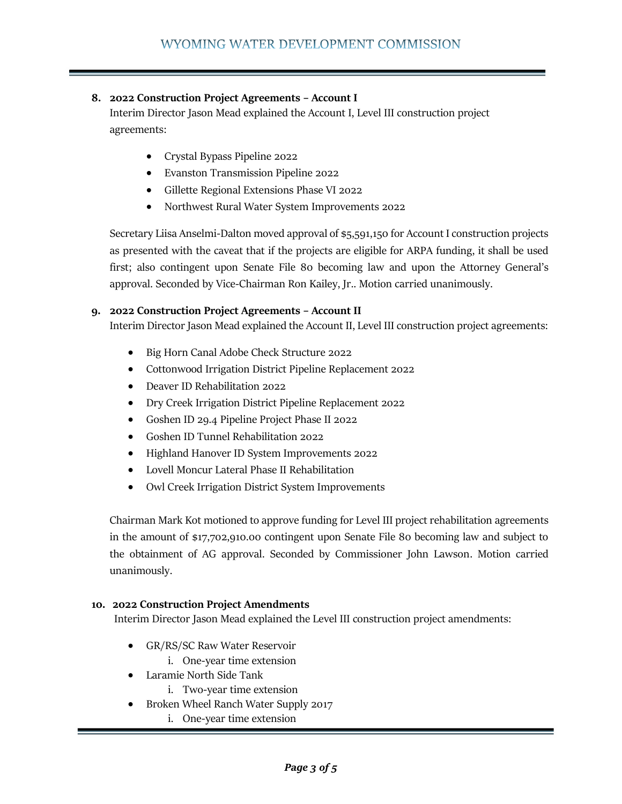#### **8. 2022 Construction Project Agreements – Account I**

Interim Director Jason Mead explained the Account I, Level III construction project agreements:

- Crystal Bypass Pipeline 2022
- Evanston Transmission Pipeline 2022
- Gillette Regional Extensions Phase VI 2022
- Northwest Rural Water System Improvements 2022

Secretary Liisa Anselmi-Dalton moved approval of \$5,591,150 for Account I construction projects as presented with the caveat that if the projects are eligible for ARPA funding, it shall be used first; also contingent upon Senate File 80 becoming law and upon the Attorney General's approval. Seconded by Vice-Chairman Ron Kailey, Jr.. Motion carried unanimously.

#### **9. 2022 Construction Project Agreements – Account II**

Interim Director Jason Mead explained the Account II, Level III construction project agreements:

- Big Horn Canal Adobe Check Structure 2022
- Cottonwood Irrigation District Pipeline Replacement 2022
- Deaver ID Rehabilitation 2022
- Dry Creek Irrigation District Pipeline Replacement 2022
- Goshen ID 29.4 Pipeline Project Phase II 2022
- Goshen ID Tunnel Rehabilitation 2022
- Highland Hanover ID System Improvements 2022
- Lovell Moncur Lateral Phase II Rehabilitation
- Owl Creek Irrigation District System Improvements

Chairman Mark Kot motioned to approve funding for Level III project rehabilitation agreements in the amount of \$17,702,910.00 contingent upon Senate File 80 becoming law and subject to the obtainment of AG approval. Seconded by Commissioner John Lawson. Motion carried unanimously.

#### **10. 2022 Construction Project Amendments**

Interim Director Jason Mead explained the Level III construction project amendments:

- GR/RS/SC Raw Water Reservoir
	- i. One-year time extension
- Laramie North Side Tank
	- i. Two-year time extension
- Broken Wheel Ranch Water Supply 2017
	- i. One-year time extension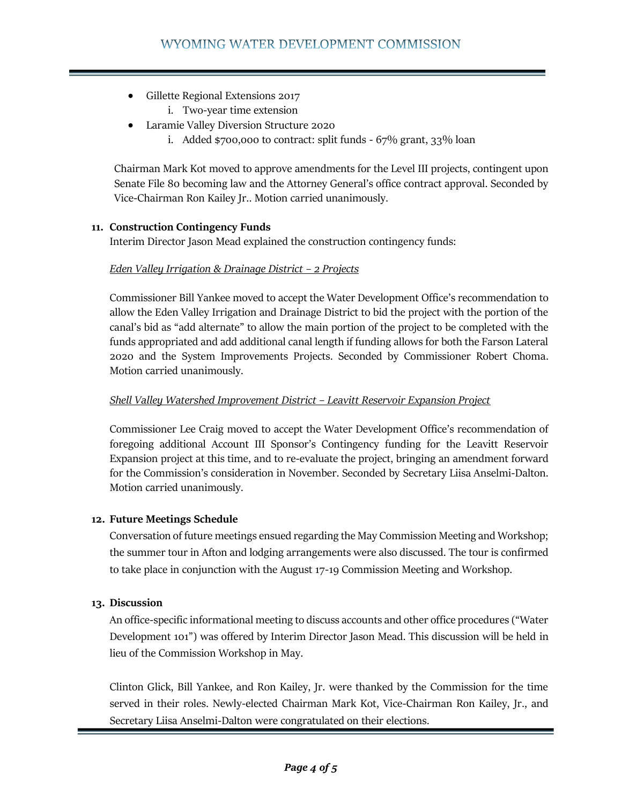- Gillette Regional Extensions 2017
	- i. Two-year time extension
- Laramie Valley Diversion Structure 2020
	- i. Added \$700,000 to contract: split funds 67% grant, 33% loan

Chairman Mark Kot moved to approve amendments for the Level III projects, contingent upon Senate File 80 becoming law and the Attorney General's office contract approval. Seconded by Vice-Chairman Ron Kailey Jr.. Motion carried unanimously.

#### **11. Construction Contingency Funds**

Interim Director Jason Mead explained the construction contingency funds:

#### *Eden Valley Irrigation & Drainage District – 2 Projects*

Commissioner Bill Yankee moved to accept the Water Development Office's recommendation to allow the Eden Valley Irrigation and Drainage District to bid the project with the portion of the canal's bid as "add alternate" to allow the main portion of the project to be completed with the funds appropriated and add additional canal length if funding allows for both the Farson Lateral 2020 and the System Improvements Projects. Seconded by Commissioner Robert Choma. Motion carried unanimously.

#### *Shell Valley Watershed Improvement District – Leavitt Reservoir Expansion Project*

Commissioner Lee Craig moved to accept the Water Development Office's recommendation of foregoing additional Account III Sponsor's Contingency funding for the Leavitt Reservoir Expansion project at this time, and to re-evaluate the project, bringing an amendment forward for the Commission's consideration in November. Seconded by Secretary Liisa Anselmi-Dalton. Motion carried unanimously.

## **12. Future Meetings Schedule**

Conversation of future meetings ensued regarding the May Commission Meeting and Workshop; the summer tour in Afton and lodging arrangements were also discussed. The tour is confirmed to take place in conjunction with the August 17-19 Commission Meeting and Workshop.

## **13. Discussion**

An office-specific informational meeting to discuss accounts and other office procedures ("Water Development 101") was offered by Interim Director Jason Mead. This discussion will be held in lieu of the Commission Workshop in May.

Clinton Glick, Bill Yankee, and Ron Kailey, Jr. were thanked by the Commission for the time served in their roles. Newly-elected Chairman Mark Kot, Vice-Chairman Ron Kailey, Jr., and Secretary Liisa Anselmi-Dalton were congratulated on their elections.